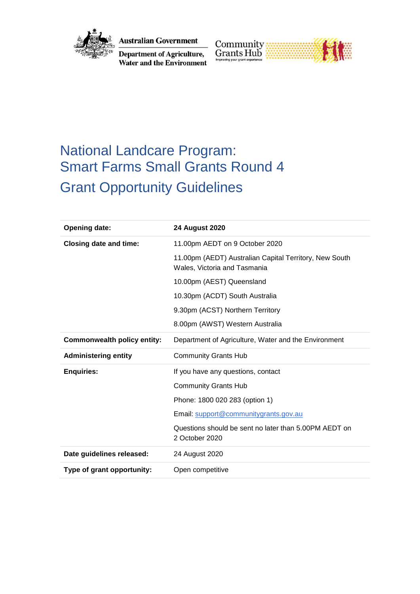

**Australian Government** 

**Department of Agriculture,**<br>Water and the Environment



# National Landcare Program: Smart Farms Small Grants Round 4 Grant Opportunity Guidelines

| <b>Opening date:</b>               | <b>24 August 2020</b>                                                                  |
|------------------------------------|----------------------------------------------------------------------------------------|
| <b>Closing date and time:</b>      | 11.00pm AEDT on 9 October 2020                                                         |
|                                    | 11.00pm (AEDT) Australian Capital Territory, New South<br>Wales, Victoria and Tasmania |
|                                    | 10.00pm (AEST) Queensland                                                              |
|                                    | 10.30pm (ACDT) South Australia                                                         |
|                                    | 9.30pm (ACST) Northern Territory                                                       |
|                                    | 8.00pm (AWST) Western Australia                                                        |
| <b>Commonwealth policy entity:</b> | Department of Agriculture, Water and the Environment                                   |
| <b>Administering entity</b>        | <b>Community Grants Hub</b>                                                            |
| <b>Enquiries:</b>                  | If you have any questions, contact                                                     |
|                                    | <b>Community Grants Hub</b>                                                            |
|                                    | Phone: 1800 020 283 (option 1)                                                         |
|                                    | Email: support@communitygrants.gov.au                                                  |
|                                    | Questions should be sent no later than 5,00PM AEDT on<br>2 October 2020                |
| Date guidelines released:          | 24 August 2020                                                                         |
| Type of grant opportunity:         | Open competitive                                                                       |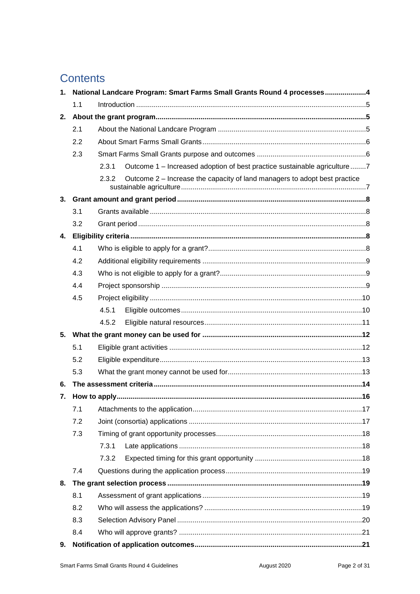## **Contents**

| 1. | National Landcare Program: Smart Farms Small Grants Round 4 processes4 |                                                                                    |  |
|----|------------------------------------------------------------------------|------------------------------------------------------------------------------------|--|
|    | 1.1                                                                    |                                                                                    |  |
| 2. |                                                                        |                                                                                    |  |
|    | 2.1                                                                    |                                                                                    |  |
|    | 2.2                                                                    |                                                                                    |  |
|    | 2.3                                                                    |                                                                                    |  |
|    |                                                                        | Outcome 1 – Increased adoption of best practice sustainable agriculture7<br>2.3.1  |  |
|    |                                                                        | Outcome 2 – Increase the capacity of land managers to adopt best practice<br>2.3.2 |  |
| 3. |                                                                        |                                                                                    |  |
|    | 3.1                                                                    |                                                                                    |  |
|    | 3.2                                                                    |                                                                                    |  |
| 4. |                                                                        |                                                                                    |  |
|    | 4.1                                                                    |                                                                                    |  |
|    | 4.2                                                                    |                                                                                    |  |
|    | 4.3                                                                    |                                                                                    |  |
|    | 4.4                                                                    |                                                                                    |  |
|    | 4.5                                                                    |                                                                                    |  |
|    |                                                                        | 4.5.1                                                                              |  |
|    |                                                                        | 4.5.2                                                                              |  |
| 5. |                                                                        |                                                                                    |  |
|    | 5.1                                                                    |                                                                                    |  |
|    | 5.2                                                                    |                                                                                    |  |
|    | 5.3                                                                    |                                                                                    |  |
| 6. |                                                                        |                                                                                    |  |
| 7. |                                                                        |                                                                                    |  |
|    | 7.1                                                                    |                                                                                    |  |
|    | 7.2                                                                    |                                                                                    |  |
|    | 7.3                                                                    |                                                                                    |  |
|    |                                                                        | 7.3.1                                                                              |  |
|    |                                                                        | 7.3.2                                                                              |  |
|    | 7.4                                                                    |                                                                                    |  |
| 8. |                                                                        |                                                                                    |  |
|    | 8.1                                                                    |                                                                                    |  |
|    | 8.2                                                                    |                                                                                    |  |
|    | 8.3                                                                    |                                                                                    |  |
|    | 8.4                                                                    |                                                                                    |  |
| 9. |                                                                        |                                                                                    |  |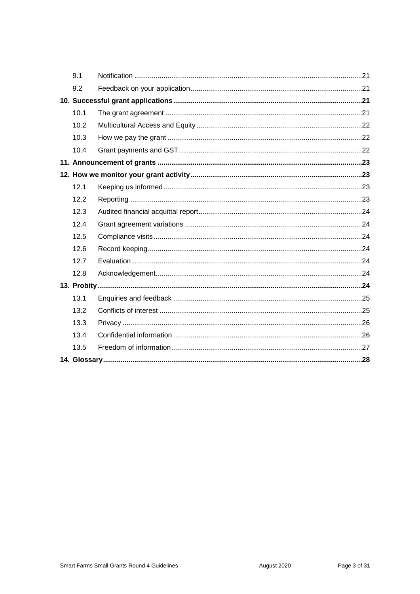| 9.1  |  |
|------|--|
| 9.2  |  |
|      |  |
| 10.1 |  |
| 10.2 |  |
| 10.3 |  |
| 10.4 |  |
|      |  |
|      |  |
| 12.1 |  |
| 12.2 |  |
| 12.3 |  |
| 12.4 |  |
| 12.5 |  |
| 12.6 |  |
| 12.7 |  |
| 12.8 |  |
|      |  |
| 13.1 |  |
| 13.2 |  |
| 13.3 |  |
| 13.4 |  |
| 13.5 |  |
|      |  |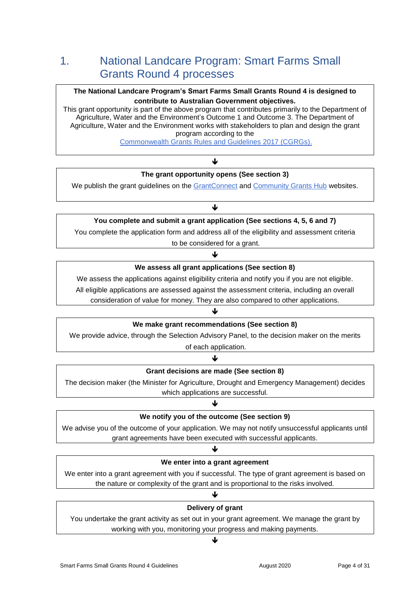## 1. National Landcare Program: Smart Farms Small Grants Round 4 processes

#### **The National Landcare Program's Smart Farms Small Grants Round 4 is designed to contribute to Australian Government objectives.**

This grant opportunity is part of the above program that contributes primarily to the Department of Agriculture, Water and the Environment's Outcome 1 and Outcome 3. The Department of Agriculture, Water and the Environment works with stakeholders to plan and design the grant program according to the

[Commonwealth Grants Rules and Guidelines](https://www.finance.gov.au/sites/default/files/2019-11/commonwealth-grants-rules-and-guidelines.pdf) 2017 (CGRGs).

## J **The grant opportunity opens (See section 3)**

We publish the grant guidelines on the [GrantConnect](http://www.grants.gov.au/) and [Community Grants Hub](https://www.communitygrants.gov.au/) websites.

#### ↓

## **You complete and submit a grant application (See sections 4, 5, 6 and 7)**

You complete the application form and address all of the eligibility and assessment criteria

to be considered for a grant.

#### J

#### **We assess all grant applications (See section 8)**

We assess the applications against eligibility criteria and notify you if you are not eligible.

All eligible applications are assessed against the assessment criteria, including an overall

consideration of value for money. They are also compared to other applications.

#### $\blacklozenge$

#### **We make grant recommendations (See section 8)**

We provide advice, through the Selection Advisory Panel, to the decision maker on the merits

of each application. ↓

### **Grant decisions are made (See section 8)**

The decision maker (the Minister for Agriculture, Drought and Emergency Management) decides which applications are successful.

#### ♦

#### **We notify you of the outcome (See section 9)**

We advise you of the outcome of your application. We may not notify unsuccessful applicants until grant agreements have been executed with successful applicants.

### ₩ **We enter into a grant agreement**

We enter into a grant agreement with you if successful. The type of grant agreement is based on the nature or complexity of the grant and is proportional to the risks involved.

## ↓ **Delivery of grant**

You undertake the grant activity as set out in your grant agreement. We manage the grant by working with you, monitoring your progress and making payments.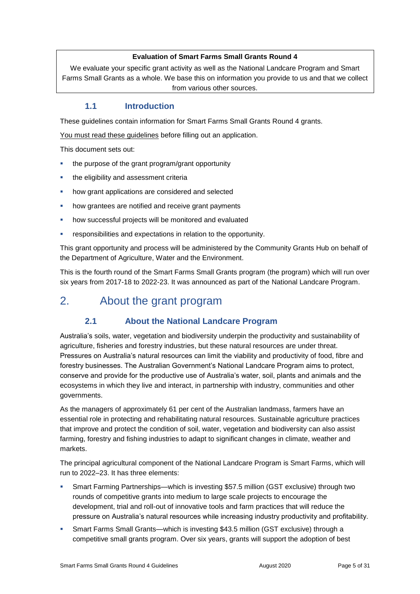#### **Evaluation of Smart Farms Small Grants Round 4**

We evaluate your specific grant activity as well as the National Landcare Program and Smart Farms Small Grants as a whole. We base this on information you provide to us and that we collect from various other sources.

#### **1.1 Introduction**

These guidelines contain information for Smart Farms Small Grants Round 4 grants.

You must read these guidelines before filling out an application.

This document sets out:

- the purpose of the grant program/grant opportunity
- the eligibility and assessment criteria
- **•** how grant applications are considered and selected
- how grantees are notified and receive grant payments
- how successful projects will be monitored and evaluated
- responsibilities and expectations in relation to the opportunity.

This grant opportunity and process will be administered by the Community Grants Hub on behalf of the Department of Agriculture, Water and the Environment.

This is the fourth round of the Smart Farms Small Grants program (the program) which will run over six years from 2017-18 to 2022-23. It was announced as part of the National Landcare Program.

## 2. About the grant program

### **2.1 About the National Landcare Program**

Australia's soils, water, vegetation and biodiversity underpin the productivity and sustainability of agriculture, fisheries and forestry industries, but these natural resources are under threat. Pressures on Australia's natural resources can limit the viability and productivity of food, fibre and forestry businesses. The Australian Government's National Landcare Program aims to protect, conserve and provide for the productive use of Australia's water, soil, plants and animals and the ecosystems in which they live and interact, in partnership with industry, communities and other governments.

As the managers of approximately 61 per cent of the Australian landmass, farmers have an essential role in protecting and rehabilitating natural resources. Sustainable agriculture practices that improve and protect the condition of soil, water, vegetation and biodiversity can also assist farming, forestry and fishing industries to adapt to significant changes in climate, weather and markets.

The principal agricultural component of the National Landcare Program is Smart Farms, which will run to 2022–23. It has three elements:

- Smart Farming Partnerships—which is investing \$57.5 million (GST exclusive) through two rounds of competitive grants into medium to large scale projects to encourage the development, trial and roll-out of innovative tools and farm practices that will reduce the pressure on Australia's natural resources while increasing industry productivity and profitability.
- Smart Farms Small Grants—which is investing \$43.5 million (GST exclusive) through a competitive small grants program. Over six years, grants will support the adoption of best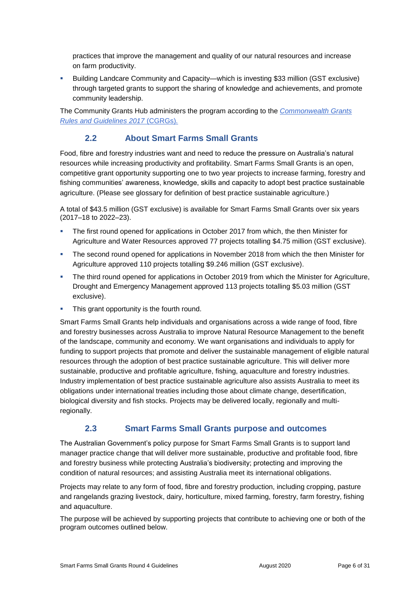practices that improve the management and quality of our natural resources and increase on farm productivity.

 Building Landcare Community and Capacity—which is investing \$33 million (GST exclusive) through targeted grants to support the sharing of knowledge and achievements, and promote community leadership.

The Community Grants Hub administers the program according to the *[Commonwealth Grants](https://www.finance.gov.au/sites/default/files/2019-11/commonwealth-grants-rules-and-guidelines.pdf)  [Rules and Guidelines](https://www.finance.gov.au/sites/default/files/2019-11/commonwealth-grants-rules-and-guidelines.pdf) 2017* (CGRGs)*.*

### **2.2 About Smart Farms Small Grants**

Food, fibre and forestry industries want and need to reduce the pressure on Australia's natural resources while increasing productivity and profitability. Smart Farms Small Grants is an open, competitive grant opportunity supporting one to two year projects to increase farming, forestry and fishing communities' awareness, knowledge, skills and capacity to adopt best practice sustainable agriculture. (Please see glossary for definition of best practice sustainable agriculture.)

A total of \$43.5 million (GST exclusive) is available for Smart Farms Small Grants over six years (2017–18 to 2022–23).

- The first round opened for applications in October 2017 from which, the then Minister for Agriculture and Water Resources approved 77 projects totalling \$4.75 million (GST exclusive).
- The second round opened for applications in November 2018 from which the then Minister for Agriculture approved 110 projects totalling \$9.246 million (GST exclusive).
- **The third round opened for applications in October 2019 from which the Minister for Agriculture,** Drought and Emergency Management approved 113 projects totalling \$5.03 million (GST exclusive).
- This grant opportunity is the fourth round.

Smart Farms Small Grants help individuals and organisations across a wide range of food, fibre and forestry businesses across Australia to improve Natural Resource Management to the benefit of the landscape, community and economy. We want organisations and individuals to apply for funding to support projects that promote and deliver the sustainable management of eligible natural resources through the adoption of best practice sustainable agriculture. This will deliver more sustainable, productive and profitable agriculture, fishing, aquaculture and forestry industries. Industry implementation of best practice sustainable agriculture also assists Australia to meet its obligations under international treaties including those about climate change, desertification, biological diversity and fish stocks. Projects may be delivered locally, regionally and multiregionally.

### **2.3 Smart Farms Small Grants purpose and outcomes**

The Australian Government's policy purpose for Smart Farms Small Grants is to support land manager practice change that will deliver more sustainable, productive and profitable food, fibre and forestry business while protecting Australia's biodiversity; protecting and improving the condition of natural resources; and assisting Australia meet its international obligations.

Projects may relate to any form of food, fibre and forestry production, including cropping, pasture and rangelands grazing livestock, dairy, horticulture, mixed farming, forestry, farm forestry, fishing and aquaculture.

The purpose will be achieved by supporting projects that contribute to achieving one or both of the program outcomes outlined below.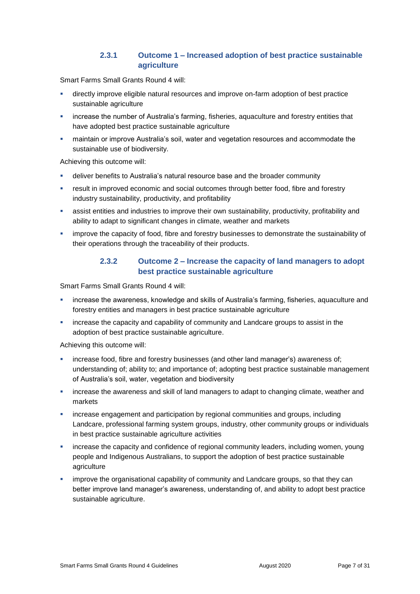#### **2.3.1 Outcome 1 – Increased adoption of best practice sustainable agriculture**

Smart Farms Small Grants Round 4 will:

- directly improve eligible natural resources and improve on-farm adoption of best practice sustainable agriculture
- increase the number of Australia's farming, fisheries, aquaculture and forestry entities that have adopted best practice sustainable agriculture
- maintain or improve Australia's soil, water and vegetation resources and accommodate the sustainable use of biodiversity.

Achieving this outcome will:

- deliver benefits to Australia's natural resource base and the broader community
- result in improved economic and social outcomes through better food, fibre and forestry industry sustainability, productivity, and profitability
- assist entities and industries to improve their own sustainability, productivity, profitability and ability to adapt to significant changes in climate, weather and markets
- improve the capacity of food, fibre and forestry businesses to demonstrate the sustainability of their operations through the traceability of their products.

#### **2.3.2 Outcome 2 – Increase the capacity of land managers to adopt best practice sustainable agriculture**

Smart Farms Small Grants Round 4 will:

- increase the awareness, knowledge and skills of Australia's farming, fisheries, aquaculture and forestry entities and managers in best practice sustainable agriculture
- increase the capacity and capability of community and Landcare groups to assist in the adoption of best practice sustainable agriculture.

Achieving this outcome will:

- increase food, fibre and forestry businesses (and other land manager's) awareness of; understanding of; ability to; and importance of; adopting best practice sustainable management of Australia's soil, water, vegetation and biodiversity
- increase the awareness and skill of land managers to adapt to changing climate, weather and markets
- increase engagement and participation by regional communities and groups, including Landcare, professional farming system groups, industry, other community groups or individuals in best practice sustainable agriculture activities
- increase the capacity and confidence of regional community leaders, including women, young people and Indigenous Australians, to support the adoption of best practice sustainable agriculture
- improve the organisational capability of community and Landcare groups, so that they can better improve land manager's awareness, understanding of, and ability to adopt best practice sustainable agriculture.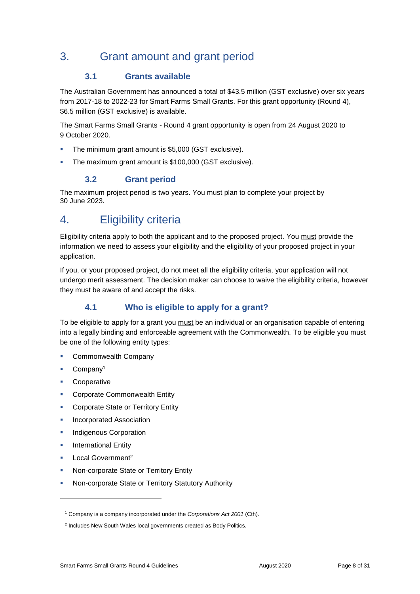## 3. Grant amount and grant period

### **3.1 Grants available**

The Australian Government has announced a total of \$43.5 million (GST exclusive) over six years from 2017-18 to 2022-23 for Smart Farms Small Grants. For this grant opportunity (Round 4), \$6.5 million (GST exclusive) is available.

The Smart Farms Small Grants - Round 4 grant opportunity is open from 24 August 2020 to 9 October 2020.

- **The minimum grant amount is \$5,000 (GST exclusive).**
- The maximum grant amount is \$100,000 (GST exclusive).

## **3.2 Grant period**

The maximum project period is two years. You must plan to complete your project by 30 June 2023.

## 4. Eligibility criteria

Eligibility criteria apply to both the applicant and to the proposed project. You must provide the information we need to assess your eligibility and the eligibility of your proposed project in your application.

If you, or your proposed project, do not meet all the eligibility criteria, your application will not undergo merit assessment. The decision maker can choose to waive the eligibility criteria, however they must be aware of and accept the risks.

### **4.1 Who is eligible to apply for a grant?**

To be eligible to apply for a grant you must be an individual or an organisation capable of entering into a legally binding and enforceable agreement with the Commonwealth. To be eligible you must be one of the following entity types:

- Commonwealth Company
- Company<sup>1</sup>
- **Cooperative**
- Corporate Commonwealth Entity
- **Corporate State or Territory Entity**
- Incorporated Association
- Indigenous Corporation
- **International Entity**
- Local Government<sup>2</sup>

-

- Non-corporate State or Territory Entity
- Non-corporate State or Territory Statutory Authority

<sup>1</sup> Company is a company incorporated under the *Corporations Act 2001* (Cth).

<sup>&</sup>lt;sup>2</sup> Includes New South Wales local governments created as Body Politics.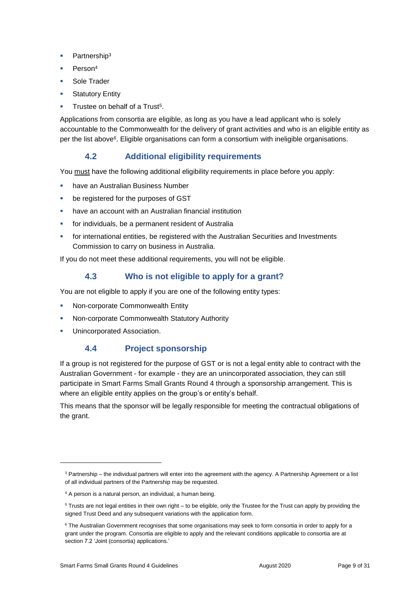- Partnership<sup>3</sup>
- Person<sup>4</sup>
- Sole Trader
- **Statutory Entity**
- Trustee on behalf of a Trust<sup>5</sup>.

Applications from consortia are eligible, as long as you have a lead applicant who is solely accountable to the Commonwealth for the delivery of grant activities and who is an eligible entity as per the list above<sup>6</sup>. Eligible organisations can form a consortium with ineligible organisations.

### **4.2 Additional eligibility requirements**

You must have the following additional eligibility requirements in place before you apply:

- have an Australian Business Number
- be registered for the purposes of GST
- have an account with an Australian financial institution
- for individuals, be a permanent resident of Australia
- **for international entities, be registered with the Australian Securities and Investments** Commission to carry on business in Australia.

If you do not meet these additional requirements, you will not be eligible.

## **4.3 Who is not eligible to apply for a grant?**

You are not eligible to apply if you are one of the following entity types:

- Non-corporate Commonwealth Entity
- Non-corporate Commonwealth Statutory Authority
- Unincorporated Association.

-

### **4.4 Project sponsorship**

If a group is not registered for the purpose of GST or is not a legal entity able to contract with the Australian Government - for example - they are an unincorporated association, they can still participate in Smart Farms Small Grants Round 4 through a sponsorship arrangement. This is where an eligible entity applies on the group's or entity's behalf.

This means that the sponsor will be legally responsible for meeting the contractual obligations of the grant.

<sup>&</sup>lt;sup>3</sup> Partnership – the individual partners will enter into the agreement with the agency. A Partnership Agreement or a list of all individual partners of the Partnership may be requested.

<sup>4</sup> A person is a natural person, an individual, a human being.

<sup>5</sup> Trusts are not legal entities in their own right – to be eligible, only the Trustee for the Trust can apply by providing the signed Trust Deed and any subsequent variations with the application form.

<sup>&</sup>lt;sup>6</sup> The Australian Government recognises that some organisations may seek to form consortia in order to apply for a grant under the program. Consortia are eligible to apply and the relevant conditions applicable to consortia are at section 7.2 'Joint (consortia) applications.'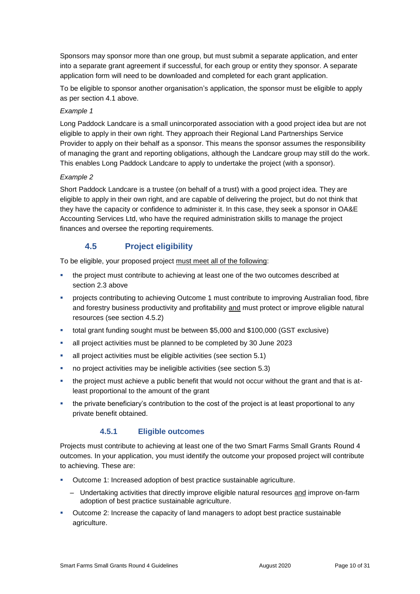Sponsors may sponsor more than one group, but must submit a separate application, and enter into a separate grant agreement if successful, for each group or entity they sponsor. A separate application form will need to be downloaded and completed for each grant application.

To be eligible to sponsor another organisation's application, the sponsor must be eligible to apply as per section 4.1 above.

#### *Example 1*

Long Paddock Landcare is a small unincorporated association with a good project idea but are not eligible to apply in their own right. They approach their Regional Land Partnerships Service Provider to apply on their behalf as a sponsor. This means the sponsor assumes the responsibility of managing the grant and reporting obligations, although the Landcare group may still do the work. This enables Long Paddock Landcare to apply to undertake the project (with a sponsor).

#### *Example 2*

Short Paddock Landcare is a trustee (on behalf of a trust) with a good project idea. They are eligible to apply in their own right, and are capable of delivering the project, but do not think that they have the capacity or confidence to administer it. In this case, they seek a sponsor in OA&E Accounting Services Ltd, who have the required administration skills to manage the project finances and oversee the reporting requirements.

### **4.5 Project eligibility**

To be eligible, your proposed project must meet all of the following:

- the project must contribute to achieving at least one of the two outcomes described at section 2.3 above
- **Projects contributing to achieving Outcome 1 must contribute to improving Australian food, fibre** and forestry business productivity and profitability and must protect or improve eligible natural resources (see section 4.5.2)
- total grant funding sought must be between \$5,000 and \$100,000 (GST exclusive)
- all project activities must be planned to be completed by 30 June 2023
- all project activities must be eligible activities (see section 5.1)
- no project activities may be ineligible activities (see section 5.3)
- the project must achieve a public benefit that would not occur without the grant and that is atleast proportional to the amount of the grant
- the private beneficiary's contribution to the cost of the project is at least proportional to any private benefit obtained.

#### **4.5.1 Eligible outcomes**

Projects must contribute to achieving at least one of the two Smart Farms Small Grants Round 4 outcomes. In your application, you must identify the outcome your proposed project will contribute to achieving. These are:

- Outcome 1: Increased adoption of best practice sustainable agriculture.
	- Undertaking activities that directly improve eligible natural resources and improve on-farm adoption of best practice sustainable agriculture.
- Outcome 2: Increase the capacity of land managers to adopt best practice sustainable agriculture.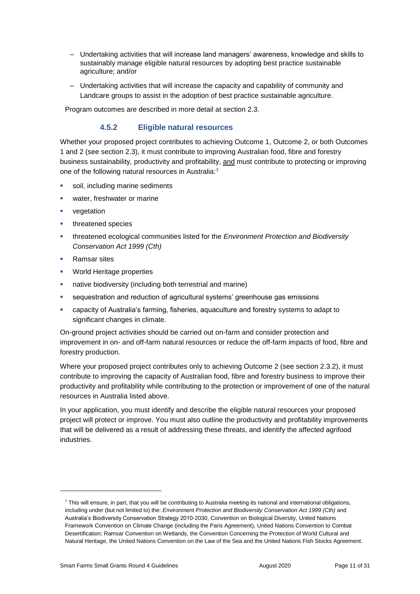- Undertaking activities that will increase land managers' awareness, knowledge and skills to sustainably manage eligible natural resources by adopting best practice sustainable agriculture; and/or
- Undertaking activities that will increase the capacity and capability of community and Landcare groups to assist in the adoption of best practice sustainable agriculture.

Program outcomes are described in more detail at section 2.3.

#### **4.5.2 Eligible natural resources**

Whether your proposed project contributes to achieving Outcome 1, Outcome 2, or both Outcomes 1 and 2 (see section 2.3), it must contribute to improving Australian food, fibre and forestry business sustainability, productivity and profitability, and must contribute to protecting or improving one of the following natural resources in Australia:7

- soil, including marine sediments
- water, freshwater or marine
- vegetation
- threatened species
- threatened ecological communities listed for the *Environment Protection and Biodiversity Conservation Act 1999 (Cth)*
- Ramsar sites

-

- World Heritage properties
- native biodiversity (including both terrestrial and marine)
- sequestration and reduction of agricultural systems' greenhouse gas emissions
- capacity of Australia's farming, fisheries, aquaculture and forestry systems to adapt to significant changes in climate.

On-ground project activities should be carried out on-farm and consider protection and improvement in on- and off-farm natural resources or reduce the off-farm impacts of food, fibre and forestry production.

Where your proposed project contributes only to achieving Outcome 2 (see section 2.3.2), it must contribute to improving the capacity of Australian food, fibre and forestry business to improve their productivity and profitability while contributing to the protection or improvement of one of the natural resources in Australia listed above.

In your application, you must identify and describe the eligible natural resources your proposed project will protect or improve. You must also outline the productivity and profitability improvements that will be delivered as a result of addressing these threats, and identify the affected agrifood industries.

 $7$  This will ensure, in part, that you will be contributing to Australia meeting its national and international obligations, including under (but not limited to) the: *Environment Protection and Biodiversity Conservation Act 1999 (Cth)* and Australia's Biodiversity Conservation Strategy 2010-2030, Convention on Biological Diversity, United Nations Framework Convention on Climate Change (including the Paris Agreement), United Nations Convention to Combat Desertification; Ramsar Convention on Wetlands, the Convention Concerning the Protection of World Cultural and Natural Heritage, the United Nations Convention on the Law of the Sea and the United Nations Fish Stocks Agreement.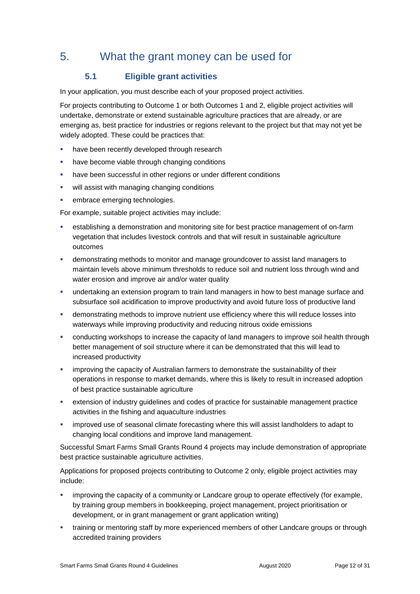## 5. What the grant money can be used for

## **5.1 Eligible grant activities**

In your application, you must describe each of your proposed project activities.

For projects contributing to Outcome 1 or both Outcomes 1 and 2, eligible project activities will undertake, demonstrate or extend sustainable agriculture practices that are already, or are emerging as, best practice for industries or regions relevant to the project but that may not yet be widely adopted. These could be practices that:

- **have been recently developed through research**
- have become viable through changing conditions
- have been successful in other regions or under different conditions
- **•** will assist with managing changing conditions
- embrace emerging technologies.

For example, suitable project activities may include:

- establishing a demonstration and monitoring site for best practice management of on-farm vegetation that includes livestock controls and that will result in sustainable agriculture outcomes
- demonstrating methods to monitor and manage groundcover to assist land managers to maintain levels above minimum thresholds to reduce soil and nutrient loss through wind and water erosion and improve air and/or water quality
- undertaking an extension program to train land managers in how to best manage surface and subsurface soil acidification to improve productivity and avoid future loss of productive land
- demonstrating methods to improve nutrient use efficiency where this will reduce losses into waterways while improving productivity and reducing nitrous oxide emissions
- conducting workshops to increase the capacity of land managers to improve soil health through better management of soil structure where it can be demonstrated that this will lead to increased productivity
- **·** improving the capacity of Australian farmers to demonstrate the sustainability of their operations in response to market demands, where this is likely to result in increased adoption of best practice sustainable agriculture
- extension of industry guidelines and codes of practice for sustainable management practice activities in the fishing and aquaculture industries
- **improved use of seasonal climate forecasting where this will assist landholders to adapt to** changing local conditions and improve land management.

Successful Smart Farms Small Grants Round 4 projects may include demonstration of appropriate best practice sustainable agriculture activities.

Applications for proposed projects contributing to Outcome 2 only, eligible project activities may include:

- improving the capacity of a community or Landcare group to operate effectively (for example, by training group members in bookkeeping, project management, project prioritisation or development, or in grant management or grant application writing)
- **\*** training or mentoring staff by more experienced members of other Landcare groups or through accredited training providers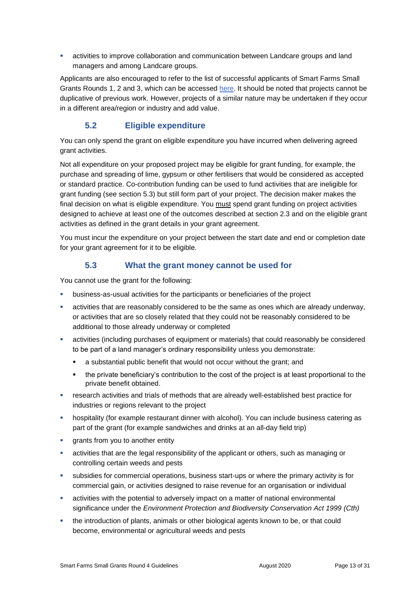activities to improve collaboration and communication between Landcare groups and land managers and among Landcare groups.

Applicants are also encouraged to refer to the list of successful applicants of Smart Farms Small Grants Rounds 1, 2 and 3, which can be accessed [here.](http://www.agriculture.gov.au/ag-farm-food/natural-resources/landcare/national-landcare-program/australian-government-investment-in-landcare) It should be noted that projects cannot be duplicative of previous work. However, projects of a similar nature may be undertaken if they occur in a different area/region or industry and add value.

## **5.2 Eligible expenditure**

You can only spend the grant on eligible expenditure you have incurred when delivering agreed grant activities.

Not all expenditure on your proposed project may be eligible for grant funding, for example, the purchase and spreading of lime, gypsum or other fertilisers that would be considered as accepted or standard practice. Co-contribution funding can be used to fund activities that are ineligible for grant funding (see section 5.3) but still form part of your project. The decision maker makes the final decision on what is eligible expenditure. You must spend grant funding on project activities designed to achieve at least one of the outcomes described at section 2.3 and on the eligible grant activities as defined in the grant details in your grant agreement.

You must incur the expenditure on your project between the start date and end or completion date for your grant agreement for it to be eligible.

### **5.3 What the grant money cannot be used for**

You cannot use the grant for the following:

- business-as-usual activities for the participants or beneficiaries of the project
- activities that are reasonably considered to be the same as ones which are already underway, or activities that are so closely related that they could not be reasonably considered to be additional to those already underway or completed
- activities (including purchases of equipment or materials) that could reasonably be considered to be part of a land manager's ordinary responsibility unless you demonstrate:
	- a substantial public benefit that would not occur without the grant; and
	- the private beneficiary's contribution to the cost of the project is at least proportional to the private benefit obtained.
- **Figure 3** research activities and trials of methods that are already well-established best practice for industries or regions relevant to the project
- hospitality (for example restaurant dinner with alcohol). You can include business catering as part of the grant (for example sandwiches and drinks at an all-day field trip)
- **qrants from you to another entity**
- activities that are the legal responsibility of the applicant or others, such as managing or controlling certain weeds and pests
- subsidies for commercial operations, business start-ups or where the primary activity is for commercial gain, or activities designed to raise revenue for an organisation or individual
- activities with the potential to adversely impact on a matter of national environmental significance under the *Environment Protection and Biodiversity Conservation Act 1999 (Cth)*
- the introduction of plants, animals or other biological agents known to be, or that could become, environmental or agricultural weeds and pests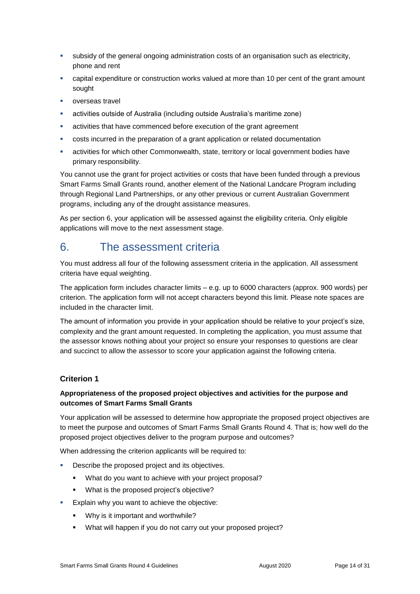- subsidy of the general ongoing administration costs of an organisation such as electricity, phone and rent
- capital expenditure or construction works valued at more than 10 per cent of the grant amount sought
- overseas travel
- activities outside of Australia (including outside Australia's maritime zone)
- activities that have commenced before execution of the grant agreement
- costs incurred in the preparation of a grant application or related documentation
- activities for which other Commonwealth, state, territory or local government bodies have primary responsibility.

You cannot use the grant for project activities or costs that have been funded through a previous Smart Farms Small Grants round, another element of the National Landcare Program including through Regional Land Partnerships, or any other previous or current Australian Government programs, including any of the drought assistance measures.

As per section 6, your application will be assessed against the eligibility criteria. Only eligible applications will move to the next assessment stage.

## 6. The assessment criteria

You must address all four of the following assessment criteria in the application. All assessment criteria have equal weighting.

The application form includes character limits – e.g. up to 6000 characters (approx. 900 words) per criterion. The application form will not accept characters beyond this limit. Please note spaces are included in the character limit.

The amount of information you provide in your application should be relative to your project's size, complexity and the grant amount requested. In completing the application, you must assume that the assessor knows nothing about your project so ensure your responses to questions are clear and succinct to allow the assessor to score your application against the following criteria.

#### **Criterion 1**

#### **Appropriateness of the proposed project objectives and activities for the purpose and outcomes of Smart Farms Small Grants**

Your application will be assessed to determine how appropriate the proposed project objectives are to meet the purpose and outcomes of Smart Farms Small Grants Round 4. That is; how well do the proposed project objectives deliver to the program purpose and outcomes?

When addressing the criterion applicants will be required to:

- Describe the proposed project and its objectives.
	- What do you want to achieve with your project proposal?
	- What is the proposed project's objective?
- **Explain why you want to achieve the objective:** 
	- **Why is it important and worthwhile?**
	- What will happen if you do not carry out your proposed project?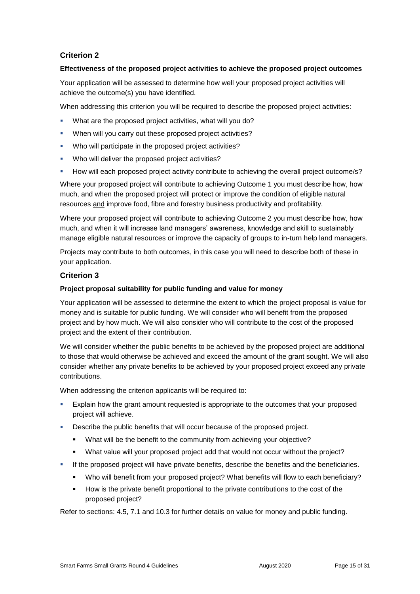#### **Criterion 2**

#### **Effectiveness of the proposed project activities to achieve the proposed project outcomes**

Your application will be assessed to determine how well your proposed project activities will achieve the outcome(s) you have identified.

When addressing this criterion you will be required to describe the proposed project activities:

- What are the proposed project activities, what will you do?
- When will you carry out these proposed project activities?
- Who will participate in the proposed project activities?
- Who will deliver the proposed project activities?
- **How will each proposed project activity contribute to achieving the overall project outcome/s?**

Where your proposed project will contribute to achieving Outcome 1 you must describe how, how much, and when the proposed project will protect or improve the condition of eligible natural resources and improve food, fibre and forestry business productivity and profitability.

Where your proposed project will contribute to achieving Outcome 2 you must describe how, how much, and when it will increase land managers' awareness, knowledge and skill to sustainably manage eligible natural resources or improve the capacity of groups to in-turn help land managers.

Projects may contribute to both outcomes, in this case you will need to describe both of these in your application.

#### **Criterion 3**

#### **Project proposal suitability for public funding and value for money**

Your application will be assessed to determine the extent to which the project proposal is value for money and is suitable for public funding. We will consider who will benefit from the proposed project and by how much. We will also consider who will contribute to the cost of the proposed project and the extent of their contribution.

We will consider whether the public benefits to be achieved by the proposed project are additional to those that would otherwise be achieved and exceed the amount of the grant sought. We will also consider whether any private benefits to be achieved by your proposed project exceed any private contributions.

When addressing the criterion applicants will be required to:

- Explain how the grant amount requested is appropriate to the outcomes that your proposed project will achieve.
- Describe the public benefits that will occur because of the proposed project.
	- What will be the benefit to the community from achieving your objective?
	- What value will your proposed project add that would not occur without the project?
- **If the proposed project will have private benefits, describe the benefits and the beneficiaries.** 
	- Who will benefit from your proposed project? What benefits will flow to each beneficiary?
	- How is the private benefit proportional to the private contributions to the cost of the proposed project?

Refer to sections: 4.5, 7.1 and 10.3 for further details on value for money and public funding.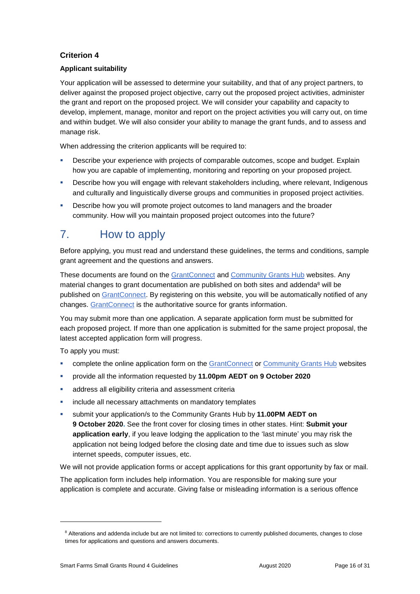### **Criterion 4**

#### **Applicant suitability**

Your application will be assessed to determine your suitability, and that of any project partners, to deliver against the proposed project objective, carry out the proposed project activities, administer the grant and report on the proposed project. We will consider your capability and capacity to develop, implement, manage, monitor and report on the project activities you will carry out, on time and within budget. We will also consider your ability to manage the grant funds, and to assess and manage risk.

When addressing the criterion applicants will be required to:

- Describe your experience with projects of comparable outcomes, scope and budget. Explain how you are capable of implementing, monitoring and reporting on your proposed project.
- Describe how you will engage with relevant stakeholders including, where relevant, Indigenous and culturally and linguistically diverse groups and communities in proposed project activities.
- **Describe how you will promote project outcomes to land managers and the broader** community. How will you maintain proposed project outcomes into the future?

## 7. How to apply

Before applying, you must read and understand these guidelines, the terms and conditions, sample grant agreement and the questions and answers.

These documents are found on the [GrantConnect](https://www.grants.gov.au/?event=public.home) and [Community Grants Hub](https://www.communitygrants.gov.au/) websites. Any material changes to grant documentation are published on both sites and addenda<sup>8</sup> will be published on [GrantConnect.](https://www.grants.gov.au/) By registering on this website, you will be automatically notified of any changes. [GrantConnect](https://www.grants.gov.au/) is the authoritative source for grants information.

You may submit more than one application. A separate application form must be submitted for each proposed project. If more than one application is submitted for the same project proposal, the latest accepted application form will progress.

To apply you must:

-

- **EXECT** complete the online application form on the [GrantConnect](https://www.grants.gov.au/) or [Community Grants Hub](https://www.communitygrants.gov.au/grants) websites
- provide all the information requested by **11.00pm AEDT on 9 October 2020**
- address all eligibility criteria and assessment criteria
- include all necessary attachments on mandatory templates
- submit your application/s to the Community Grants Hub by **11.00PM AEDT on 9 October 2020.** See the front cover for closing times in other states. Hint: **Submit your application early**, if you leave lodging the application to the 'last minute' you may risk the application not being lodged before the closing date and time due to issues such as slow internet speeds, computer issues, etc.

We will not provide application forms or accept applications for this grant opportunity by fax or mail.

The application form includes help information. You are responsible for making sure your application is complete and accurate. Giving false or misleading information is a serious offence

<sup>&</sup>lt;sup>8</sup> Alterations and addenda include but are not limited to: corrections to currently published documents, changes to close times for applications and questions and answers documents.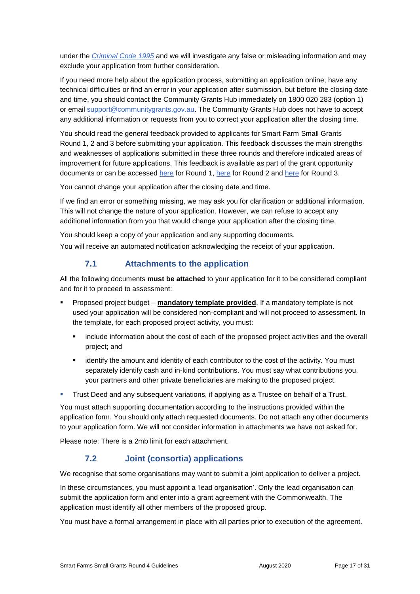under the *[Criminal Code 1995](http://www8.austlii.edu.au/cgi-bin/viewdoc/au/legis/cth/consol_act/cca1995115/sch1.html)* and we will investigate any false or misleading information and may exclude your application from further consideration.

If you need more help about the application process, submitting an application online, have any technical difficulties or find an error in your application after submission, but before the closing date and time, you should contact the Community Grants Hub immediately on 1800 020 283 (option 1) or email [support@communitygrants.gov.au.](mailto:support@communitygrants.gov.au) The Community Grants Hub does not have to accept any additional information or requests from you to correct your application after the closing time.

You should read the general feedback provided to applicants for Smart Farm Small Grants Round 1, 2 and 3 before submitting your application. This feedback discusses the main strengths and weaknesses of applications submitted in these three rounds and therefore indicated areas of improvement for future applications. This feedback is available as part of the grant opportunity documents or can be accessed [here](https://www.communitygrants.gov.au/sites/default/files/documents/11_2018/smart-farms-small-grants-2017-general-feedback-191118_0.pdf) for Round 1, [here](https://www.communitygrants.gov.au/sites/default/files/documents/05_2020/sfsg-round-3-general-feedback-approved-30-april-2020.pdf) for Round 2 and here for Round 3.

You cannot change your application after the closing date and time.

If we find an error or something missing, we may ask you for clarification or additional information. This will not change the nature of your application. However, we can refuse to accept any additional information from you that would change your application after the closing time.

You should keep a copy of your application and any supporting documents. You will receive an automated notification acknowledging the receipt of your application.

### **7.1 Attachments to the application**

All the following documents **must be attached** to your application for it to be considered compliant and for it to proceed to assessment:

- Proposed project budget **mandatory template provided**. If a mandatory template is not used your application will be considered non-compliant and will not proceed to assessment. In the template, for each proposed project activity, you must:
	- include information about the cost of each of the proposed project activities and the overall project; and
	- identify the amount and identity of each contributor to the cost of the activity. You must separately identify cash and in-kind contributions. You must say what contributions you, your partners and other private beneficiaries are making to the proposed project.
- Trust Deed and any subsequent variations, if applying as a Trustee on behalf of a Trust.

You must attach supporting documentation according to the instructions provided within the application form. You should only attach requested documents. Do not attach any other documents to your application form. We will not consider information in attachments we have not asked for.

Please note: There is a 2mb limit for each attachment.

### **7.2 Joint (consortia) applications**

We recognise that some organisations may want to submit a joint application to deliver a project.

In these circumstances, you must appoint a 'lead organisation'. Only the lead organisation can submit the application form and enter into a grant agreement with the Commonwealth. The application must identify all other members of the proposed group.

You must have a formal arrangement in place with all parties prior to execution of the agreement.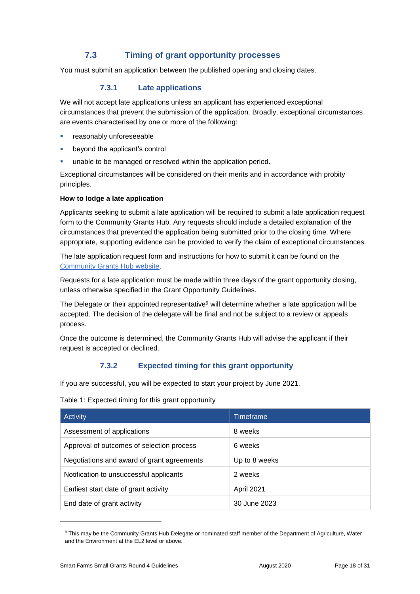## **7.3 Timing of grant opportunity processes**

You must submit an application between the published opening and closing dates.

#### **7.3.1 Late applications**

We will not accept late applications unless an applicant has experienced exceptional circumstances that prevent the submission of the application. Broadly, exceptional circumstances are events characterised by one or more of the following:

- reasonably unforeseeable
- beyond the applicant's control
- unable to be managed or resolved within the application period.

Exceptional circumstances will be considered on their merits and in accordance with probity principles.

#### **How to lodge a late application**

Applicants seeking to submit a late application will be required to submit a late application request form to the Community Grants Hub. Any requests should include a detailed explanation of the circumstances that prevented the application being submitted prior to the closing time. Where appropriate, supporting evidence can be provided to verify the claim of exceptional circumstances.

The late application request form and instructions for how to submit it can be found on the [Community Grants Hub website.](https://www.communitygrants.gov.au/information/information-applicants/timing-grant-opportunity-processes)

Requests for a late application must be made within three days of the grant opportunity closing, unless otherwise specified in the Grant Opportunity Guidelines.

The Delegate or their appointed representative<sup>9</sup> will determine whether a late application will be accepted. The decision of the delegate will be final and not be subject to a review or appeals process.

Once the outcome is determined, the Community Grants Hub will advise the applicant if their request is accepted or declined.

### **7.3.2 Expected timing for this grant opportunity**

If you are successful, you will be expected to start your project by June 2021.

Table 1: Expected timing for this grant opportunity

| Activity                                   | Timeframe     |
|--------------------------------------------|---------------|
| Assessment of applications                 | 8 weeks       |
| Approval of outcomes of selection process  | 6 weeks       |
| Negotiations and award of grant agreements | Up to 8 weeks |
| Notification to unsuccessful applicants    | 2 weeks       |
| Earliest start date of grant activity      | April 2021    |
| End date of grant activity                 | 30 June 2023  |

<sup>9</sup> This may be the Community Grants Hub Delegate or nominated staff member of the Department of Agriculture, Water and the Environment at the EL2 level or above.

-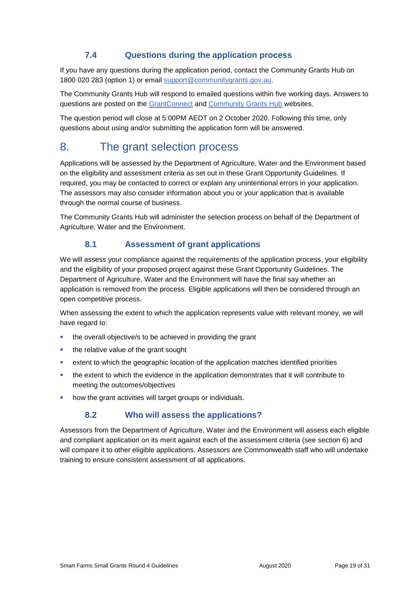## **7.4 Questions during the application process**

If you have any questions during the application period, contact the Community Grants Hub on 1800 020 283 (option 1) or email [support@communitygrants.gov.au.](mailto:support@communitygrants.gov.au)

The Community Grants Hub will respond to emailed questions within five working days. Answers to questions are posted on the [GrantConnect](https://www.grants.gov.au/) and [Community Grants Hub](https://www.communitygrants.gov.au/) websites.

The question period will close at 5:00PM AEDT on 2 October 2020. Following this time, only questions about using and/or submitting the application form will be answered.

## 8. The grant selection process

Applications will be assessed by the Department of Agriculture, Water and the Environment based on the eligibility and assessment criteria as set out in these Grant Opportunity Guidelines. If required, you may be contacted to correct or explain any unintentional errors in your application. The assessors may also consider information about you or your application that is available through the normal course of business.

The Community Grants Hub will administer the selection process on behalf of the Department of Agriculture, Water and the Environment.

### **8.1 Assessment of grant applications**

We will assess your compliance against the requirements of the application process, your eligibility and the eligibility of your proposed project against these Grant Opportunity Guidelines. The Department of Agriculture, Water and the Environment will have the final say whether an application is removed from the process. Eligible applications will then be considered through an open competitive process.

When assessing the extent to which the application represents value with relevant money, we will have regard to:

- the overall objective/s to be achieved in providing the grant
- the relative value of the grant sought
- extent to which the geographic location of the application matches identified priorities
- the extent to which the evidence in the application demonstrates that it will contribute to meeting the outcomes/objectives
- **•** how the grant activities will target groups or individuals.

### **8.2 Who will assess the applications?**

Assessors from the Department of Agriculture, Water and the Environment will assess each eligible and compliant application on its merit against each of the assessment criteria (see section 6) and will compare it to other eligible applications. Assessors are Commonwealth staff who will undertake training to ensure consistent assessment of all applications.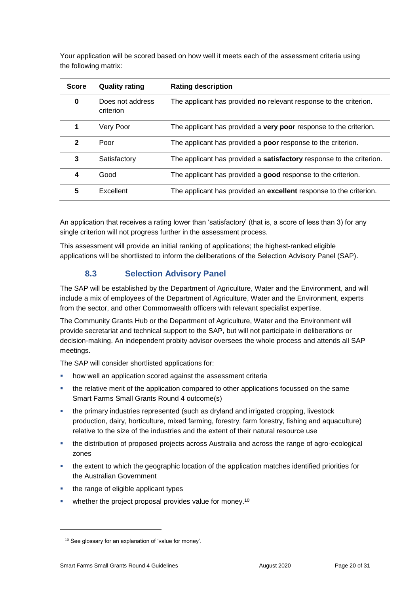Your application will be scored based on how well it meets each of the assessment criteria using the following matrix:

| <b>Score</b> | <b>Quality rating</b>         | <b>Rating description</b>                                                   |
|--------------|-------------------------------|-----------------------------------------------------------------------------|
| $\bf{0}$     | Does not address<br>criterion | The applicant has provided no relevant response to the criterion.           |
|              | Very Poor                     | The applicant has provided a very poor response to the criterion.           |
| $\mathbf{2}$ | Poor                          | The applicant has provided a <b>poor</b> response to the criterion.         |
| 3            | Satisfactory                  | The applicant has provided a <b>satisfactory</b> response to the criterion. |
| 4            | Good                          | The applicant has provided a good response to the criterion.                |
| 5            | Excellent                     | The applicant has provided an excellent response to the criterion.          |

An application that receives a rating lower than 'satisfactory' (that is, a score of less than 3) for any single criterion will not progress further in the assessment process.

This assessment will provide an initial ranking of applications; the highest-ranked eligible applications will be shortlisted to inform the deliberations of the Selection Advisory Panel (SAP).

### **8.3 Selection Advisory Panel**

The SAP will be established by the Department of Agriculture, Water and the Environment, and will include a mix of employees of the Department of Agriculture, Water and the Environment, experts from the sector, and other Commonwealth officers with relevant specialist expertise.

The Community Grants Hub or the Department of Agriculture, Water and the Environment will provide secretariat and technical support to the SAP, but will not participate in deliberations or decision-making. An independent probity advisor oversees the whole process and attends all SAP meetings.

The SAP will consider shortlisted applications for:

- how well an application scored against the assessment criteria
- the relative merit of the application compared to other applications focussed on the same Smart Farms Small Grants Round 4 outcome(s)
- the primary industries represented (such as dryland and irrigated cropping, livestock production, dairy, horticulture, mixed farming, forestry, farm forestry, fishing and aquaculture) relative to the size of the industries and the extent of their natural resource use
- the distribution of proposed projects across Australia and across the range of agro-ecological zones
- the extent to which the geographic location of the application matches identified priorities for the Australian Government
- the range of eligible applicant types
- whether the project proposal provides value for money.<sup>10</sup>

-

<sup>&</sup>lt;sup>10</sup> See glossary for an explanation of 'value for money'.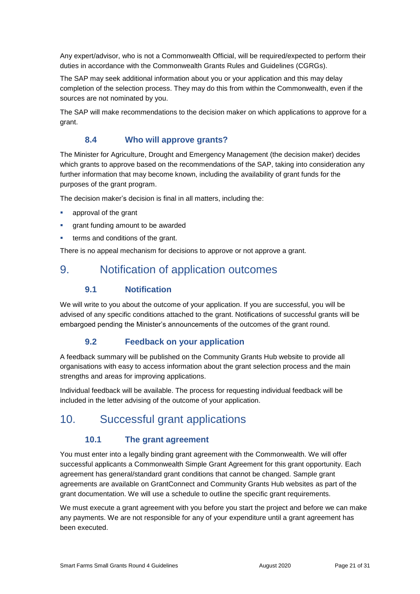Any expert/advisor, who is not a Commonwealth Official, will be required/expected to perform their duties in accordance with the Commonwealth Grants Rules and Guidelines (CGRGs).

The SAP may seek additional information about you or your application and this may delay completion of the selection process. They may do this from within the Commonwealth, even if the sources are not nominated by you.

The SAP will make recommendations to the decision maker on which applications to approve for a grant.

## **8.4 Who will approve grants?**

The Minister for Agriculture, Drought and Emergency Management (the decision maker) decides which grants to approve based on the recommendations of the SAP, taking into consideration any further information that may become known, including the availability of grant funds for the purposes of the grant program.

The decision maker's decision is final in all matters, including the:

- approval of the grant
- grant funding amount to be awarded
- terms and conditions of the grant.

There is no appeal mechanism for decisions to approve or not approve a grant.

## 9. Notification of application outcomes

#### **9.1 Notification**

We will write to you about the outcome of your application. If you are successful, you will be advised of any specific conditions attached to the grant. Notifications of successful grants will be embargoed pending the Minister's announcements of the outcomes of the grant round.

### **9.2 Feedback on your application**

A feedback summary will be published on the Community Grants Hub website to provide all organisations with easy to access information about the grant selection process and the main strengths and areas for improving applications.

Individual feedback will be available. The process for requesting individual feedback will be included in the letter advising of the outcome of your application.

## 10. Successful grant applications

### **10.1 The grant agreement**

You must enter into a legally binding grant agreement with the Commonwealth. We will offer successful applicants a Commonwealth Simple Grant Agreement for this grant opportunity. Each agreement has general/standard grant conditions that cannot be changed. Sample grant agreements are available on GrantConnect and Community Grants Hub websites as part of the grant documentation. We will use a schedule to outline the specific grant requirements.

We must execute a grant agreement with you before you start the project and before we can make any payments. We are not responsible for any of your expenditure until a grant agreement has been executed.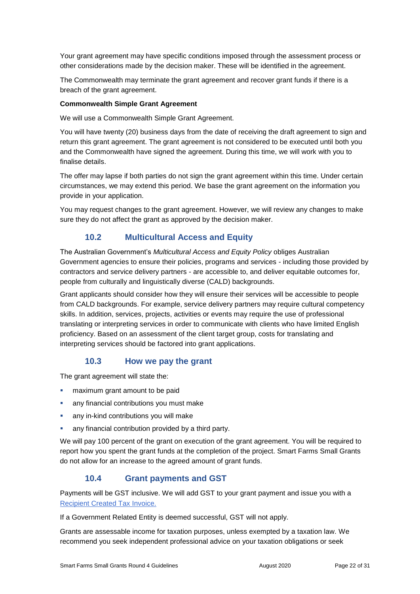Your grant agreement may have specific conditions imposed through the assessment process or other considerations made by the decision maker. These will be identified in the agreement.

The Commonwealth may terminate the grant agreement and recover grant funds if there is a breach of the grant agreement.

#### **Commonwealth Simple Grant Agreement**

We will use a Commonwealth Simple Grant Agreement.

You will have twenty (20) business days from the date of receiving the draft agreement to sign and return this grant agreement. The grant agreement is not considered to be executed until both you and the Commonwealth have signed the agreement. During this time, we will work with you to finalise details.

The offer may lapse if both parties do not sign the grant agreement within this time. Under certain circumstances, we may extend this period. We base the grant agreement on the information you provide in your application.

You may request changes to the grant agreement. However, we will review any changes to make sure they do not affect the grant as approved by the decision maker.

#### **10.2 Multicultural Access and Equity**

The Australian Government's *Multicultural Access and Equity Policy* obliges Australian Government agencies to ensure their policies, programs and services - including those provided by contractors and service delivery partners - are accessible to, and deliver equitable outcomes for, people from culturally and linguistically diverse (CALD) backgrounds.

Grant applicants should consider how they will ensure their services will be accessible to people from CALD backgrounds. For example, service delivery partners may require cultural competency skills. In addition, services, projects, activities or events may require the use of professional translating or interpreting services in order to communicate with clients who have limited English proficiency. Based on an assessment of the client target group, costs for translating and interpreting services should be factored into grant applications.

#### **10.3 How we pay the grant**

The grant agreement will state the:

- maximum grant amount to be paid
- any financial contributions you must make
- any in-kind contributions you will make
- any financial contribution provided by a third party.

We will pay 100 percent of the grant on execution of the grant agreement. You will be required to report how you spent the grant funds at the completion of the project. Smart Farms Small Grants do not allow for an increase to the agreed amount of grant funds.

#### **10.4 Grant payments and GST**

Payments will be GST inclusive. We will add GST to your grant payment and issue you with a [Recipient Created Tax Invoice.](https://www.ato.gov.au/Forms/Recipient-created-tax-invoices/)

If a Government Related Entity is deemed successful, GST will not apply.

Grants are assessable income for taxation purposes, unless exempted by a taxation law. We recommend you seek independent professional advice on your taxation obligations or seek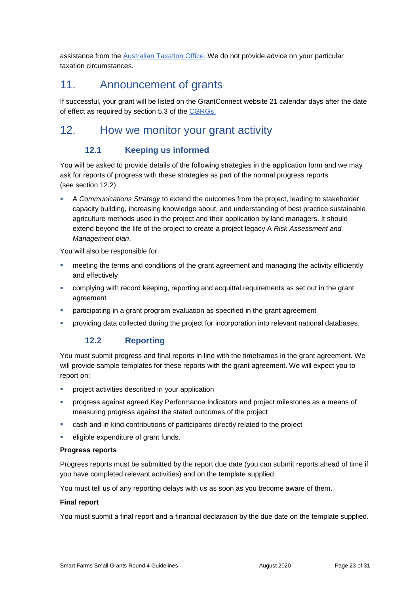assistance from the [Australian Taxation Office.](https://www.ato.gov.au/) We do not provide advice on your particular taxation circumstances.

## 11. Announcement of grants

If successful, your grant will be listed on the GrantConnect website 21 calendar days after the date of effect as required by section 5.3 of the [CGRGs.](https://www.finance.gov.au/sites/default/files/2019-11/commonwealth-grants-rules-and-guidelines.pdf)

## 12. How we monitor your grant activity

## **12.1 Keeping us informed**

You will be asked to provide details of the following strategies in the application form and we may ask for reports of progress with these strategies as part of the normal progress reports (see section 12.2):

 A *Communications Strategy* to extend the outcomes from the project, leading to stakeholder capacity building, increasing knowledge about, and understanding of best practice sustainable agriculture methods used in the project and their application by land managers. It should extend beyond the life of the project to create a project legacy A *Risk Assessment and Management plan*.

You will also be responsible for:

- meeting the terms and conditions of the grant agreement and managing the activity efficiently and effectively
- complying with record keeping, reporting and acquittal requirements as set out in the grant agreement
- participating in a grant program evaluation as specified in the grant agreement
- providing data collected during the project for incorporation into relevant national databases.

### **12.2 Reporting**

You must submit progress and final reports in line with the timeframes in the grant agreement. We will provide sample templates for these reports with the grant agreement. We will expect you to report on:

- **•** project activities described in your application
- progress against agreed Key Performance Indicators and project milestones as a means of measuring progress against the stated outcomes of the project
- cash and in-kind contributions of participants directly related to the project
- eligible expenditure of grant funds.

#### **Progress reports**

Progress reports must be submitted by the report due date (you can submit reports ahead of time if you have completed relevant activities) and on the template supplied.

You must tell us of any reporting delays with us as soon as you become aware of them.

#### **Final report**

You must submit a final report and a financial declaration by the due date on the template supplied.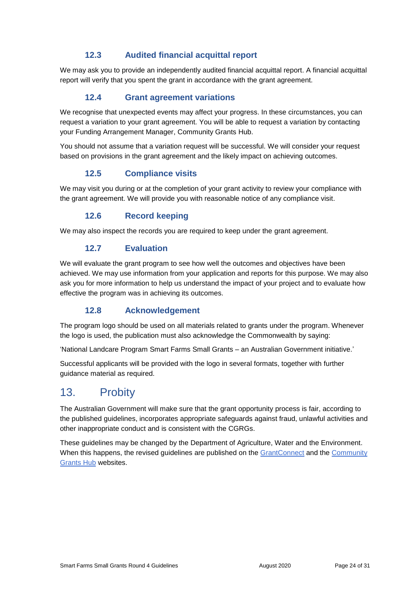### **12.3 Audited financial acquittal report**

We may ask you to provide an independently audited financial acquittal report. A financial acquittal report will verify that you spent the grant in accordance with the grant agreement.

## **12.4 Grant agreement variations**

We recognise that unexpected events may affect your progress. In these circumstances, you can request a variation to your grant agreement. You will be able to request a variation by contacting your Funding Arrangement Manager, Community Grants Hub.

You should not assume that a variation request will be successful. We will consider your request based on provisions in the grant agreement and the likely impact on achieving outcomes.

#### **12.5 Compliance visits**

We may visit you during or at the completion of your grant activity to review your compliance with the grant agreement. We will provide you with reasonable notice of any compliance visit.

### **12.6 Record keeping**

We may also inspect the records you are required to keep under the grant agreement.

#### **12.7 Evaluation**

We will evaluate the grant program to see how well the outcomes and objectives have been achieved. We may use information from your application and reports for this purpose. We may also ask you for more information to help us understand the impact of your project and to evaluate how effective the program was in achieving its outcomes.

#### **12.8 Acknowledgement**

The program logo should be used on all materials related to grants under the program. Whenever the logo is used, the publication must also acknowledge the Commonwealth by saying:

'National Landcare Program Smart Farms Small Grants – an Australian Government initiative.'

Successful applicants will be provided with the logo in several formats, together with further guidance material as required.

## 13. Probity

The Australian Government will make sure that the grant opportunity process is fair, according to the published guidelines, incorporates appropriate safeguards against fraud, unlawful activities and other inappropriate conduct and is consistent with the CGRGs.

These guidelines may be changed by the Department of Agriculture, Water and the Environment. When this happens, the revised guidelines are published on the [GrantConnect](https://www.grants.gov.au/?event=public.GO.list) and the Community [Grants Hub](https://www.communitygrants.gov.au/) websites.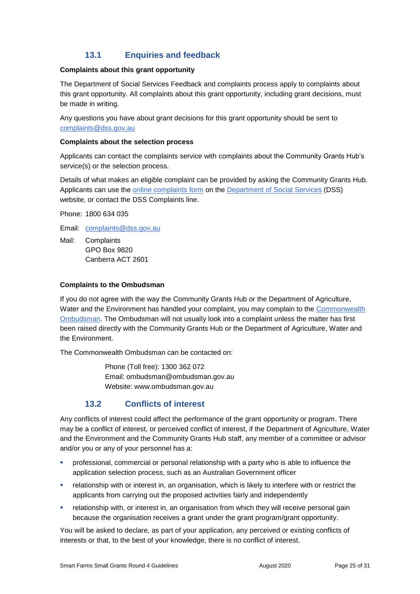## **13.1 Enquiries and feedback**

#### **Complaints about this grant opportunity**

The Department of Social Services Feedback and complaints process apply to complaints about this grant opportunity. All complaints about this grant opportunity, including grant decisions, must be made in writing.

Any questions you have about grant decisions for this grant opportunity should be sent to [complaints@dss.gov.au](mailto:complaints@dss.gov.au)

#### **Complaints about the selection process**

Applicants can contact the complaints service with complaints about the Community Grants Hub's service(s) or the selection process.

Details of what makes an eligible complaint can be provided by asking the Community Grants Hub. Applicants can use the [online complaints form](https://www.dss.gov.au/contact/feedback-compliments-complaints-and-enquiries/feedback-form) on the [Department of Social Services](https://www.dss.gov.au/contact/feedback-compliments-complaints-and-enquiries/complaints-page) (DSS) website, or contact the DSS Complaints line.

Phone: 1800 634 035

Email: [complaints@dss.gov.au](mailto:complaints@dss.gov.au)

Mail: Complaints GPO Box 9820 Canberra ACT 2601

#### **Complaints to the Ombudsman**

If you do not agree with the way the Community Grants Hub or the Department of Agriculture, Water and the Environment has handled your complaint, you may complain to the Commonwealth [Ombudsman.](http://www.ombudsman.gov.au/) The Ombudsman will not usually look into a complaint unless the matter has first been raised directly with the Community Grants Hub or the Department of Agriculture, Water and the Environment.

The Commonwealth Ombudsman can be contacted on:

Phone (Toll free): 1300 362 072 Email: [ombudsman@ombudsman.gov.au](mailto:ombudsman@ombudsman.gov.au) Website: [www.ombudsman.gov.au](http://www.ombudsman.gov.au/)

### **13.2 Conflicts of interest**

Any conflicts of interest could affect the performance of the grant opportunity or program. There may be a [conflict of interest,](http://www.apsc.gov.au/publications-and-media/current-publications/aps-values-and-code-of-conduct-in-practice/conflict-of-interest) or perceived conflict of interest, if the Department of Agriculture, Water and the Environment and the Community Grants Hub staff, any member of a committee or advisor and/or you or any of your personnel has a:

- professional, commercial or personal relationship with a party who is able to influence the application selection process, such as an Australian Government officer
- relationship with or interest in, an organisation, which is likely to interfere with or restrict the applicants from carrying out the proposed activities fairly and independently
- **•** relationship with, or interest in, an organisation from which they will receive personal gain because the organisation receives a grant under the grant program/grant opportunity.

You will be asked to declare, as part of your application, any perceived or existing conflicts of interests or that, to the best of your knowledge, there is no conflict of interest.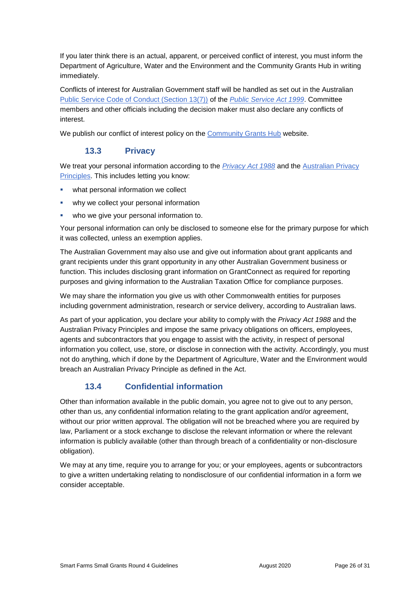If you later think there is an actual, apparent, or perceived conflict of interest, you must inform the Department of Agriculture, Water and the Environment and the Community Grants Hub in writing immediately.

Conflicts of interest for Australian Government staff will be handled as set out in the Australian [Public Service Code of Conduct \(Section 13\(7\)\)](http://www8.austlii.edu.au/cgi-bin/viewdoc/au/legis/cth/consol_act/psa1999152/s13.html) of the *[Public Service Act 1999](https://www.legislation.gov.au/Series/C2004A00538)*. Committee members and other officials including the decision maker must also declare any conflicts of interest.

We publish our conflict of interest policy on the [Community Grants Hub](https://www.communitygrants.gov.au/open-grants/how-apply/conflict-interest-policy-commonwealth-government-employee) website.

## **13.3 Privacy**

We treat your personal information according to the *[Privacy Act 1988](https://www.legislation.gov.au/Details/C2014C00076)* and the [Australian Privacy](https://www.oaic.gov.au/privacy-law/privacy-act/australian-privacy-principles)  [Principles.](https://www.oaic.gov.au/privacy-law/privacy-act/australian-privacy-principles) This includes letting you know:

- what personal information we collect
- why we collect your personal information
- who we give your personal information to.

Your personal information can only be disclosed to someone else for the primary purpose for which it was collected, unless an exemption applies.

The Australian Government may also use and give out information about grant applicants and grant recipients under this grant opportunity in any other Australian Government business or function. This includes disclosing grant information on GrantConnect as required for reporting purposes and giving information to the Australian Taxation Office for compliance purposes.

We may share the information you give us with other Commonwealth entities for purposes including government administration, research or service delivery, according to Australian laws.

As part of your application, you declare your ability to comply with the *Privacy Act 1988* and the Australian Privacy Principles and impose the same privacy obligations on officers, employees, agents and subcontractors that you engage to assist with the activity, in respect of personal information you collect, use, store, or disclose in connection with the activity. Accordingly, you must not do anything, which if done by the Department of Agriculture, Water and the Environment would breach an Australian Privacy Principle as defined in the Act.

## **13.4 Confidential information**

Other than information available in the public domain, you agree not to give out to any person, other than us, any confidential information relating to the grant application and/or agreement, without our prior written approval. The obligation will not be breached where you are required by law, Parliament or a stock exchange to disclose the relevant information or where the relevant information is publicly available (other than through breach of a confidentiality or non-disclosure obligation).

We may at any time, require you to arrange for you; or your employees, agents or subcontractors to give a written undertaking relating to nondisclosure of our confidential information in a form we consider acceptable.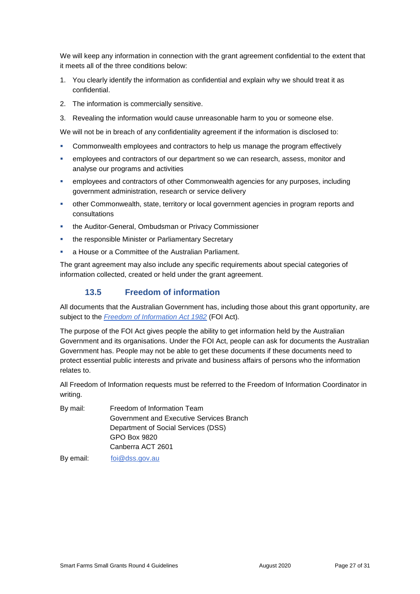We will keep any information in connection with the grant agreement confidential to the extent that it meets all of the three conditions below:

- 1. You clearly identify the information as confidential and explain why we should treat it as confidential.
- 2. The information is commercially sensitive.
- 3. Revealing the information would cause unreasonable harm to you or someone else.

We will not be in breach of any confidentiality agreement if the information is disclosed to:

- Commonwealth employees and contractors to help us manage the program effectively
- employees and contractors of our department so we can research, assess, monitor and analyse our programs and activities
- **EXECT** employees and contractors of other Commonwealth agencies for any purposes, including government administration, research or service delivery
- other Commonwealth, state, territory or local government agencies in program reports and consultations
- **the Auditor-General, Ombudsman or Privacy Commissioner**
- **the responsible Minister or Parliamentary Secretary**
- a House or a Committee of the Australian Parliament.

The grant agreement may also include any specific requirements about special categories of information collected, created or held under the grant agreement.

#### **13.5 Freedom of information**

All documents that the Australian Government has, including those about this grant opportunity, are subject to the *[Freedom of Information Act 1982](https://www.legislation.gov.au/Series/C2004A02562)* (FOI Act)*.*

The purpose of the FOI Act gives people the ability to get information held by the Australian Government and its organisations. Under the FOI Act, people can ask for documents the Australian Government has. People may not be able to get these documents if these documents need to protect essential public interests and private and business affairs of persons who the information relates to.

All Freedom of Information requests must be referred to the Freedom of Information Coordinator in writing.

| By mail: | Freedom of Information Team              |
|----------|------------------------------------------|
|          | Government and Executive Services Branch |
|          | Department of Social Services (DSS)      |
|          | GPO Box 9820                             |
|          | Canberra ACT 2601                        |
|          |                                          |

By email: [foi@dss.gov.au](mailto:foi@dss.gov.au)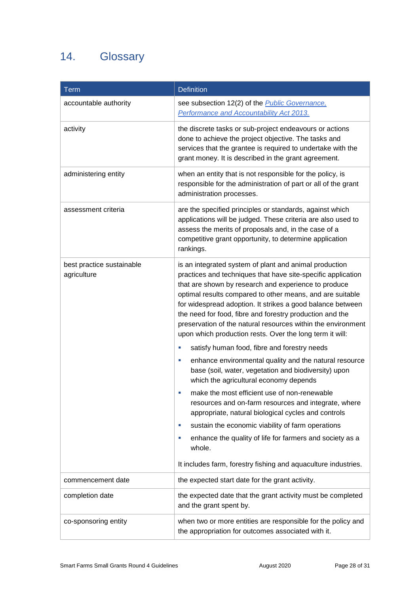## 14. Glossary

| <b>Term</b>                              | <b>Definition</b>                                                                                                                                                                                                                                                                                                                                                                                                                                                                                 |
|------------------------------------------|---------------------------------------------------------------------------------------------------------------------------------------------------------------------------------------------------------------------------------------------------------------------------------------------------------------------------------------------------------------------------------------------------------------------------------------------------------------------------------------------------|
| accountable authority                    | see subsection 12(2) of the Public Governance,<br>Performance and Accountability Act 2013.                                                                                                                                                                                                                                                                                                                                                                                                        |
| activity                                 | the discrete tasks or sub-project endeavours or actions<br>done to achieve the project objective. The tasks and<br>services that the grantee is required to undertake with the<br>grant money. It is described in the grant agreement.                                                                                                                                                                                                                                                            |
| administering entity                     | when an entity that is not responsible for the policy, is<br>responsible for the administration of part or all of the grant<br>administration processes.                                                                                                                                                                                                                                                                                                                                          |
| assessment criteria                      | are the specified principles or standards, against which<br>applications will be judged. These criteria are also used to<br>assess the merits of proposals and, in the case of a<br>competitive grant opportunity, to determine application<br>rankings.                                                                                                                                                                                                                                          |
| best practice sustainable<br>agriculture | is an integrated system of plant and animal production<br>practices and techniques that have site-specific application<br>that are shown by research and experience to produce<br>optimal results compared to other means, and are suitable<br>for widespread adoption. It strikes a good balance between<br>the need for food, fibre and forestry production and the<br>preservation of the natural resources within the environment<br>upon which production rests. Over the long term it will: |
|                                          | satisfy human food, fibre and forestry needs<br>enhance environmental quality and the natural resource<br>u,<br>base (soil, water, vegetation and biodiversity) upon<br>which the agricultural economy depends                                                                                                                                                                                                                                                                                    |
|                                          | make the most efficient use of non-renewable<br>resources and on-farm resources and integrate, where<br>appropriate, natural biological cycles and controls                                                                                                                                                                                                                                                                                                                                       |
|                                          | sustain the economic viability of farm operations<br>×<br>enhance the quality of life for farmers and society as a<br>ш<br>whole.                                                                                                                                                                                                                                                                                                                                                                 |
|                                          | It includes farm, forestry fishing and aquaculture industries.                                                                                                                                                                                                                                                                                                                                                                                                                                    |
| commencement date                        | the expected start date for the grant activity.                                                                                                                                                                                                                                                                                                                                                                                                                                                   |
| completion date                          | the expected date that the grant activity must be completed<br>and the grant spent by.                                                                                                                                                                                                                                                                                                                                                                                                            |
| co-sponsoring entity                     | when two or more entities are responsible for the policy and<br>the appropriation for outcomes associated with it.                                                                                                                                                                                                                                                                                                                                                                                |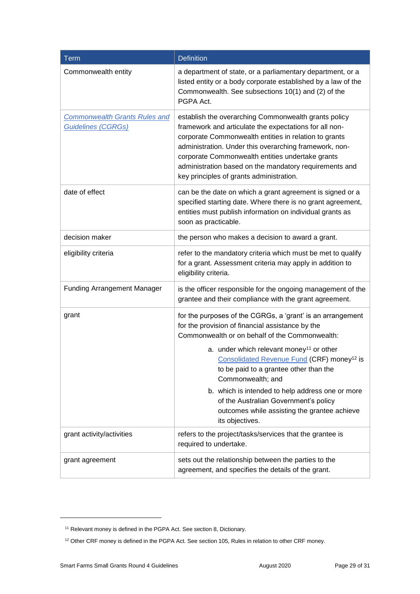| Term                                                              | <b>Definition</b>                                                                                                                                                                                                                                                                                                                                                                           |
|-------------------------------------------------------------------|---------------------------------------------------------------------------------------------------------------------------------------------------------------------------------------------------------------------------------------------------------------------------------------------------------------------------------------------------------------------------------------------|
| Commonwealth entity                                               | a department of state, or a parliamentary department, or a<br>listed entity or a body corporate established by a law of the<br>Commonwealth. See subsections 10(1) and (2) of the<br>PGPA Act.                                                                                                                                                                                              |
| <b>Commonwealth Grants Rules and</b><br><b>Guidelines (CGRGs)</b> | establish the overarching Commonwealth grants policy<br>framework and articulate the expectations for all non-<br>corporate Commonwealth entities in relation to grants<br>administration. Under this overarching framework, non-<br>corporate Commonwealth entities undertake grants<br>administration based on the mandatory requirements and<br>key principles of grants administration. |
| date of effect                                                    | can be the date on which a grant agreement is signed or a<br>specified starting date. Where there is no grant agreement,<br>entities must publish information on individual grants as<br>soon as practicable.                                                                                                                                                                               |
| decision maker                                                    | the person who makes a decision to award a grant.                                                                                                                                                                                                                                                                                                                                           |
| eligibility criteria                                              | refer to the mandatory criteria which must be met to qualify<br>for a grant. Assessment criteria may apply in addition to<br>eligibility criteria.                                                                                                                                                                                                                                          |
| <b>Funding Arrangement Manager</b>                                | is the officer responsible for the ongoing management of the<br>grantee and their compliance with the grant agreement.                                                                                                                                                                                                                                                                      |
| grant                                                             | for the purposes of the CGRGs, a 'grant' is an arrangement<br>for the provision of financial assistance by the<br>Commonwealth or on behalf of the Commonwealth:                                                                                                                                                                                                                            |
|                                                                   | a. under which relevant money <sup>11</sup> or other<br>Consolidated Revenue Fund (CRF) money <sup>12</sup> is<br>to be paid to a grantee other than the<br>Commonwealth; and                                                                                                                                                                                                               |
|                                                                   | b. which is intended to help address one or more<br>of the Australian Government's policy<br>outcomes while assisting the grantee achieve<br>its objectives.                                                                                                                                                                                                                                |
| grant activity/activities                                         | refers to the project/tasks/services that the grantee is<br>required to undertake.                                                                                                                                                                                                                                                                                                          |
| grant agreement                                                   | sets out the relationship between the parties to the<br>agreement, and specifies the details of the grant.                                                                                                                                                                                                                                                                                  |

-

<sup>&</sup>lt;sup>11</sup> Relevant money is defined in the PGPA Act. See section 8, Dictionary.

<sup>&</sup>lt;sup>12</sup> Other CRF money is defined in the PGPA Act. See section 105, Rules in relation to other CRF money.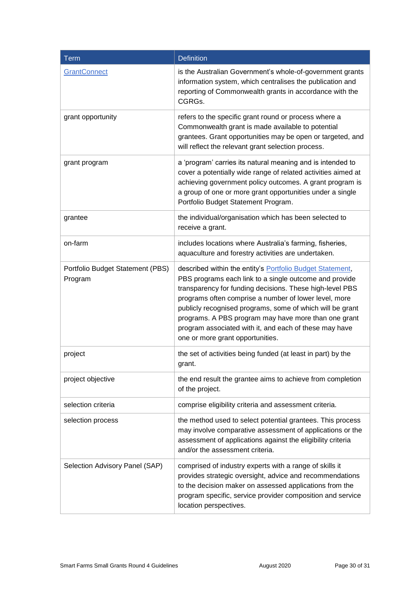| <b>Term</b>                                 | <b>Definition</b>                                                                                                                                                                                                                                                                                                                                                                                                                                                   |
|---------------------------------------------|---------------------------------------------------------------------------------------------------------------------------------------------------------------------------------------------------------------------------------------------------------------------------------------------------------------------------------------------------------------------------------------------------------------------------------------------------------------------|
| <b>GrantConnect</b>                         | is the Australian Government's whole-of-government grants<br>information system, which centralises the publication and<br>reporting of Commonwealth grants in accordance with the<br>CGRGs.                                                                                                                                                                                                                                                                         |
| grant opportunity                           | refers to the specific grant round or process where a<br>Commonwealth grant is made available to potential<br>grantees. Grant opportunities may be open or targeted, and<br>will reflect the relevant grant selection process.                                                                                                                                                                                                                                      |
| grant program                               | a 'program' carries its natural meaning and is intended to<br>cover a potentially wide range of related activities aimed at<br>achieving government policy outcomes. A grant program is<br>a group of one or more grant opportunities under a single<br>Portfolio Budget Statement Program.                                                                                                                                                                         |
| grantee                                     | the individual/organisation which has been selected to<br>receive a grant.                                                                                                                                                                                                                                                                                                                                                                                          |
| on-farm                                     | includes locations where Australia's farming, fisheries,<br>aquaculture and forestry activities are undertaken.                                                                                                                                                                                                                                                                                                                                                     |
| Portfolio Budget Statement (PBS)<br>Program | described within the entity's <b>Portfolio Budget Statement</b> ,<br>PBS programs each link to a single outcome and provide<br>transparency for funding decisions. These high-level PBS<br>programs often comprise a number of lower level, more<br>publicly recognised programs, some of which will be grant<br>programs. A PBS program may have more than one grant<br>program associated with it, and each of these may have<br>one or more grant opportunities. |
| project                                     | the set of activities being funded (at least in part) by the<br>grant.                                                                                                                                                                                                                                                                                                                                                                                              |
| project objective                           | the end result the grantee aims to achieve from completion<br>of the project.                                                                                                                                                                                                                                                                                                                                                                                       |
| selection criteria                          | comprise eligibility criteria and assessment criteria.                                                                                                                                                                                                                                                                                                                                                                                                              |
| selection process                           | the method used to select potential grantees. This process<br>may involve comparative assessment of applications or the<br>assessment of applications against the eligibility criteria<br>and/or the assessment criteria.                                                                                                                                                                                                                                           |
| Selection Advisory Panel (SAP)              | comprised of industry experts with a range of skills it<br>provides strategic oversight, advice and recommendations<br>to the decision maker on assessed applications from the<br>program specific, service provider composition and service<br>location perspectives.                                                                                                                                                                                              |